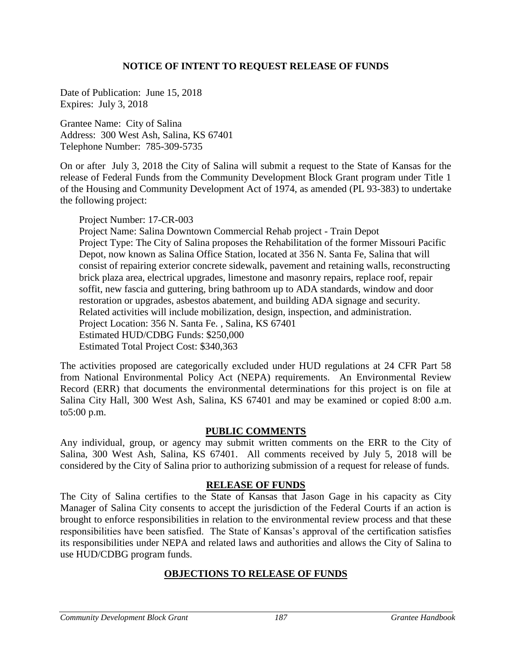## **NOTICE OF INTENT TO REQUEST RELEASE OF FUNDS**

Date of Publication: June 15, 2018 Expires: July 3, 2018

Grantee Name: City of Salina Address: 300 West Ash, Salina, KS 67401 Telephone Number: 785-309-5735

On or after July 3, 2018 the City of Salina will submit a request to the State of Kansas for the release of Federal Funds from the Community Development Block Grant program under Title 1 of the Housing and Community Development Act of 1974, as amended (PL 93-383) to undertake the following project:

Project Number: 17-CR-003

Project Name: Salina Downtown Commercial Rehab project - Train Depot Project Type: The City of Salina proposes the Rehabilitation of the former Missouri Pacific Depot, now known as Salina Office Station, located at 356 N. Santa Fe, Salina that will consist of repairing exterior concrete sidewalk, pavement and retaining walls, reconstructing brick plaza area, electrical upgrades, limestone and masonry repairs, replace roof, repair soffit, new fascia and guttering, bring bathroom up to ADA standards, window and door restoration or upgrades, asbestos abatement, and building ADA signage and security. Related activities will include mobilization, design, inspection, and administration. Project Location: 356 N. Santa Fe. , Salina, KS 67401 Estimated HUD/CDBG Funds: \$250,000 Estimated Total Project Cost: \$340,363

The activities proposed are categorically excluded under HUD regulations at 24 CFR Part 58 from National Environmental Policy Act (NEPA) requirements. An Environmental Review Record (ERR) that documents the environmental determinations for this project is on file at Salina City Hall, 300 West Ash, Salina, KS 67401 and may be examined or copied 8:00 a.m. to5:00 p.m.

## **PUBLIC COMMENTS**

Any individual, group, or agency may submit written comments on the ERR to the City of Salina, 300 West Ash, Salina, KS 67401. All comments received by July 5, 2018 will be considered by the City of Salina prior to authorizing submission of a request for release of funds.

## **RELEASE OF FUNDS**

The City of Salina certifies to the State of Kansas that Jason Gage in his capacity as City Manager of Salina City consents to accept the jurisdiction of the Federal Courts if an action is brought to enforce responsibilities in relation to the environmental review process and that these responsibilities have been satisfied. The State of Kansas's approval of the certification satisfies its responsibilities under NEPA and related laws and authorities and allows the City of Salina to use HUD/CDBG program funds.

## **OBJECTIONS TO RELEASE OF FUNDS**